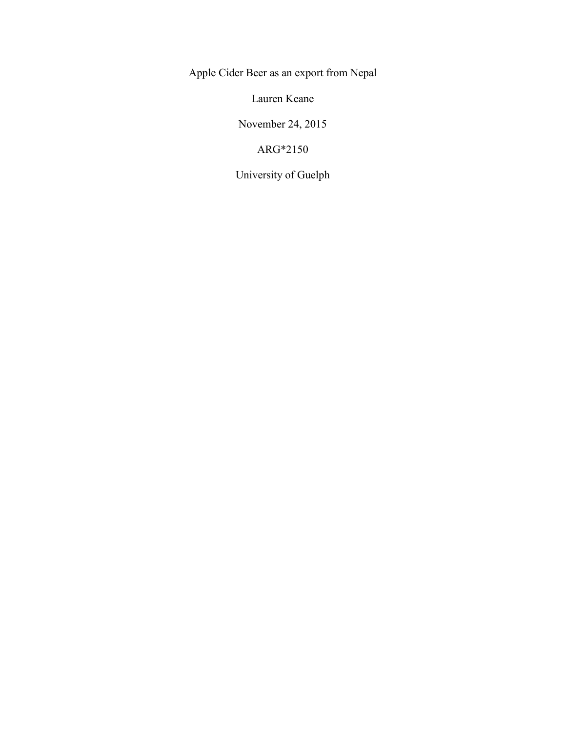Apple Cider Beer as an export from Nepal

Lauren Keane

November 24, 2015

ARG\*2150

University of Guelph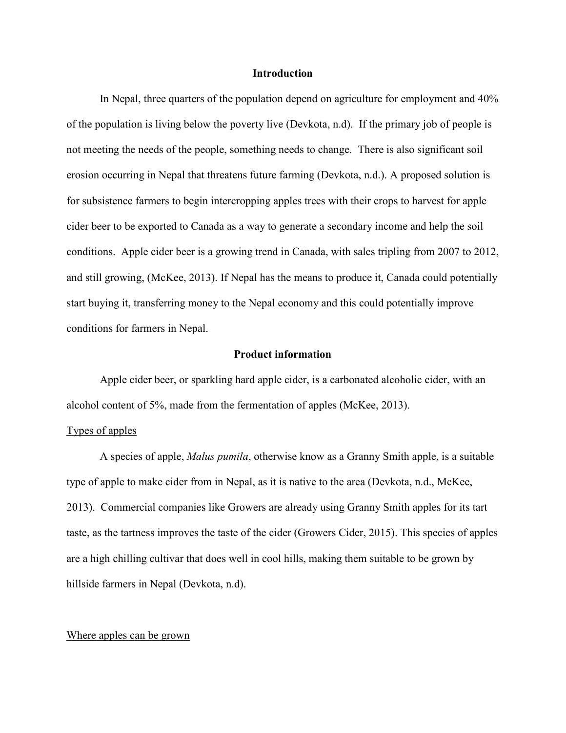#### **Introduction**

In Nepal, three quarters of the population depend on agriculture for employment and 40% of the population is living below the poverty live (Devkota, n.d). If the primary job of people is not meeting the needs of the people, something needs to change. There is also significant soil erosion occurring in Nepal that threatens future farming (Devkota, n.d.). A proposed solution is for subsistence farmers to begin intercropping apples trees with their crops to harvest for apple cider beer to be exported to Canada as a way to generate a secondary income and help the soil conditions. Apple cider beer is a growing trend in Canada, with sales tripling from 2007 to 2012, and still growing, (McKee, 2013). If Nepal has the means to produce it, Canada could potentially start buying it, transferring money to the Nepal economy and this could potentially improve conditions for farmers in Nepal.

#### **Product information**

Apple cider beer, or sparkling hard apple cider, is a carbonated alcoholic cider, with an alcohol content of 5%, made from the fermentation of apples (McKee, 2013).

### Types of apples

A species of apple, *Malus pumila*, otherwise know as a Granny Smith apple, is a suitable type of apple to make cider from in Nepal, as it is native to the area (Devkota, n.d., McKee, 2013). Commercial companies like Growers are already using Granny Smith apples for its tart taste, as the tartness improves the taste of the cider (Growers Cider, 2015). This species of apples are a high chilling cultivar that does well in cool hills, making them suitable to be grown by hillside farmers in Nepal (Devkota, n.d).

#### Where apples can be grown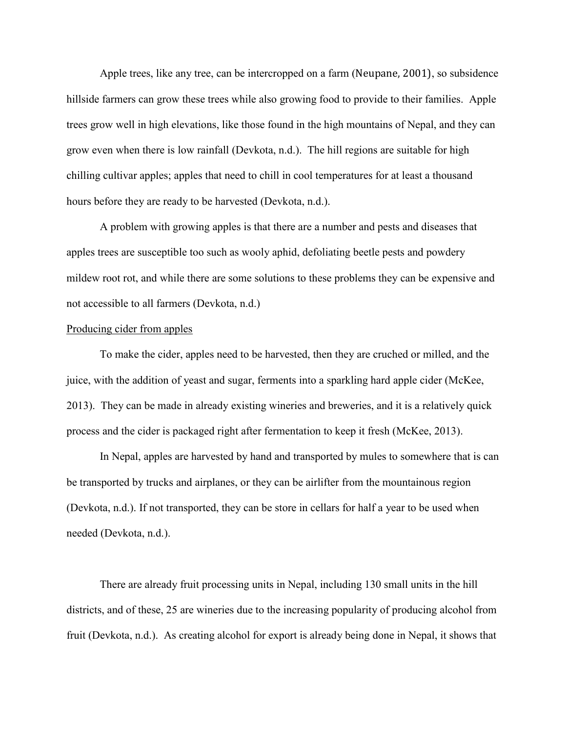Apple trees, like any tree, can be intercropped on a farm (Neupane, 2001), so subsidence hillside farmers can grow these trees while also growing food to provide to their families. Apple trees grow well in high elevations, like those found in the high mountains of Nepal, and they can grow even when there is low rainfall (Devkota, n.d.). The hill regions are suitable for high chilling cultivar apples; apples that need to chill in cool temperatures for at least a thousand hours before they are ready to be harvested (Devkota, n.d.).

A problem with growing apples is that there are a number and pests and diseases that apples trees are susceptible too such as wooly aphid, defoliating beetle pests and powdery mildew root rot, and while there are some solutions to these problems they can be expensive and not accessible to all farmers (Devkota, n.d.)

#### Producing cider from apples

To make the cider, apples need to be harvested, then they are cruched or milled, and the juice, with the addition of yeast and sugar, ferments into a sparkling hard apple cider (McKee, 2013). They can be made in already existing wineries and breweries, and it is a relatively quick process and the cider is packaged right after fermentation to keep it fresh (McKee, 2013).

In Nepal, apples are harvested by hand and transported by mules to somewhere that is can be transported by trucks and airplanes, or they can be airlifter from the mountainous region (Devkota, n.d.). If not transported, they can be store in cellars for half a year to be used when needed (Devkota, n.d.).

There are already fruit processing units in Nepal, including 130 small units in the hill districts, and of these, 25 are wineries due to the increasing popularity of producing alcohol from fruit (Devkota, n.d.). As creating alcohol for export is already being done in Nepal, it shows that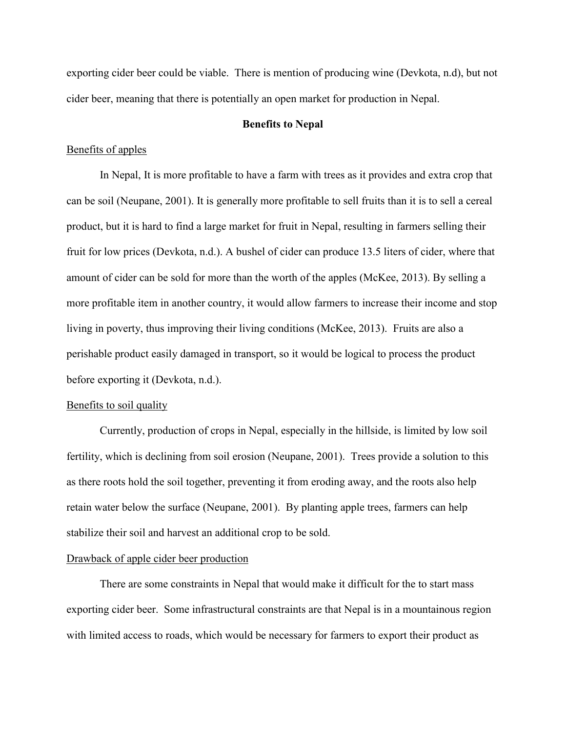exporting cider beer could be viable. There is mention of producing wine (Devkota, n.d), but not cider beer, meaning that there is potentially an open market for production in Nepal.

### **Benefits to Nepal**

### Benefits of apples

In Nepal, It is more profitable to have a farm with trees as it provides and extra crop that can be soil (Neupane, 2001). It is generally more profitable to sell fruits than it is to sell a cereal product, but it is hard to find a large market for fruit in Nepal, resulting in farmers selling their fruit for low prices (Devkota, n.d.). A bushel of cider can produce 13.5 liters of cider, where that amount of cider can be sold for more than the worth of the apples (McKee, 2013). By selling a more profitable item in another country, it would allow farmers to increase their income and stop living in poverty, thus improving their living conditions (McKee, 2013). Fruits are also a perishable product easily damaged in transport, so it would be logical to process the product before exporting it (Devkota, n.d.).

#### Benefits to soil quality

Currently, production of crops in Nepal, especially in the hillside, is limited by low soil fertility, which is declining from soil erosion (Neupane, 2001). Trees provide a solution to this as there roots hold the soil together, preventing it from eroding away, and the roots also help retain water below the surface (Neupane, 2001). By planting apple trees, farmers can help stabilize their soil and harvest an additional crop to be sold.

### Drawback of apple cider beer production

There are some constraints in Nepal that would make it difficult for the to start mass exporting cider beer. Some infrastructural constraints are that Nepal is in a mountainous region with limited access to roads, which would be necessary for farmers to export their product as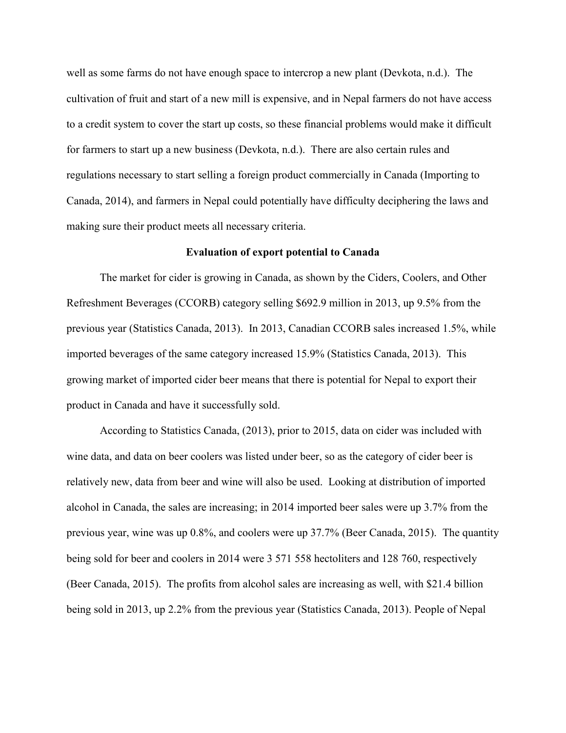well as some farms do not have enough space to intercrop a new plant (Devkota, n.d.). The cultivation of fruit and start of a new mill is expensive, and in Nepal farmers do not have access to a credit system to cover the start up costs, so these financial problems would make it difficult for farmers to start up a new business (Devkota, n.d.). There are also certain rules and regulations necessary to start selling a foreign product commercially in Canada (Importing to Canada, 2014), and farmers in Nepal could potentially have difficulty deciphering the laws and making sure their product meets all necessary criteria.

### **Evaluation of export potential to Canada**

The market for cider is growing in Canada, as shown by the Ciders, Coolers, and Other Refreshment Beverages (CCORB) category selling \$692.9 million in 2013, up 9.5% from the previous year (Statistics Canada, 2013). In 2013, Canadian CCORB sales increased 1.5%, while imported beverages of the same category increased 15.9% (Statistics Canada, 2013). This growing market of imported cider beer means that there is potential for Nepal to export their product in Canada and have it successfully sold.

According to Statistics Canada, (2013), prior to 2015, data on cider was included with wine data, and data on beer coolers was listed under beer, so as the category of cider beer is relatively new, data from beer and wine will also be used. Looking at distribution of imported alcohol in Canada, the sales are increasing; in 2014 imported beer sales were up 3.7% from the previous year, wine was up 0.8%, and coolers were up 37.7% (Beer Canada, 2015). The quantity being sold for beer and coolers in 2014 were 3 571 558 hectoliters and 128 760, respectively (Beer Canada, 2015). The profits from alcohol sales are increasing as well, with \$21.4 billion being sold in 2013, up 2.2% from the previous year (Statistics Canada, 2013). People of Nepal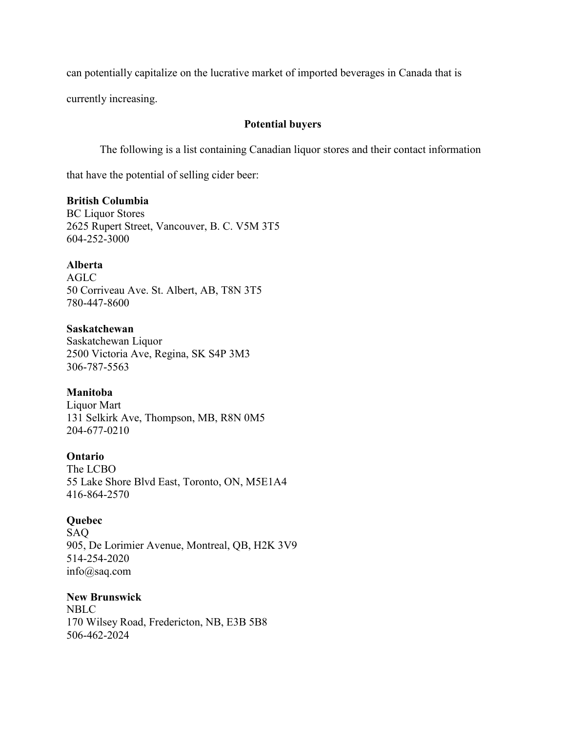can potentially capitalize on the lucrative market of imported beverages in Canada that is

currently increasing.

## **Potential buyers**

The following is a list containing Canadian liquor stores and their contact information

that have the potential of selling cider beer:

## **British Columbia**

BC Liquor Stores 2625 Rupert Street, Vancouver, B. C. V5M 3T5 604-252-3000

## **Alberta**

AGLC 50 Corriveau Ave. St. Albert, AB, T8N 3T5 780-447-8600

### **Saskatchewan**

Saskatchewan Liquor 2500 Victoria Ave, Regina, SK S4P 3M3 306-787-5563

# **Manitoba**

Liquor Mart 131 Selkirk Ave, Thompson, MB, R8N 0M5 204-677-0210

## **Ontario**

The LCBO 55 Lake Shore Blvd East, Toronto, ON, M5E1A4 416-864-2570

## **Quebec**

SAQ 905, De Lorimier Avenue, Montreal, QB, H2K 3V9 514-254-2020 info@saq.com

# **New Brunswick**

NBLC 170 Wilsey Road, Fredericton, NB, E3B 5B8 506-462-2024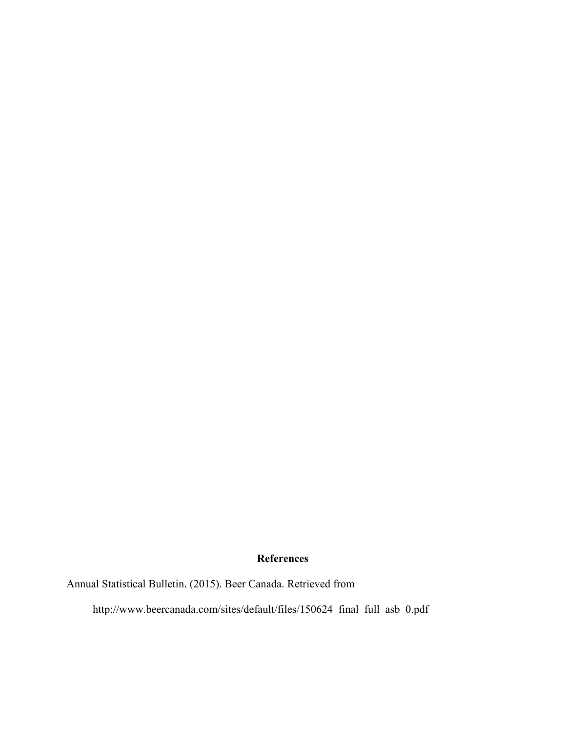# **References**

Annual Statistical Bulletin. (2015). Beer Canada. Retrieved from

http://www.beercanada.com/sites/default/files/150624\_final\_full\_asb\_0.pdf